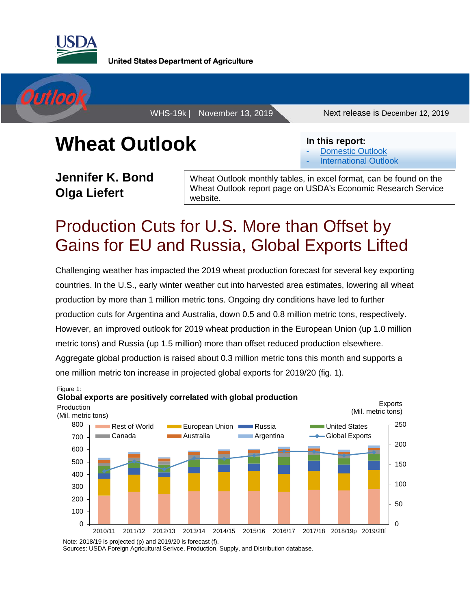

**United States Department of Agriculture** 



WHS-19k | November 13, 2019 Next release is December 12, 2019

# **Wheat Outlook**

**Jennifer K. Bond Olga Liefert**

Wheat Outlook monthly tables, in excel format, can be found on the Wheat Outlook report page on USDA's Economic Research Service website.

**In this report:**

[Domestic Outlook](#page-1-0) **[International Outlook](#page-7-0)** 

## Production Cuts for U.S. More than Offset by Gains for EU and Russia, Global Exports Lifted

Challenging weather has impacted the 2019 wheat production forecast for several key exporting countries. In the U.S., early winter weather cut into harvested area estimates, lowering all wheat production by more than 1 million metric tons. Ongoing dry conditions have led to further production cuts for Argentina and Australia, down 0.5 and 0.8 million metric tons, respectively. However, an improved outlook for 2019 wheat production in the European Union (up 1.0 million metric tons) and Russia (up 1.5 million) more than offset reduced production elsewhere. Aggregate global production is raised about 0.3 million metric tons this month and supports a one million metric ton increase in projected global exports for 2019/20 (fig. 1).



Sources: USDA Foreign Agricultural Serivce, Production, Supply, and Distribution database.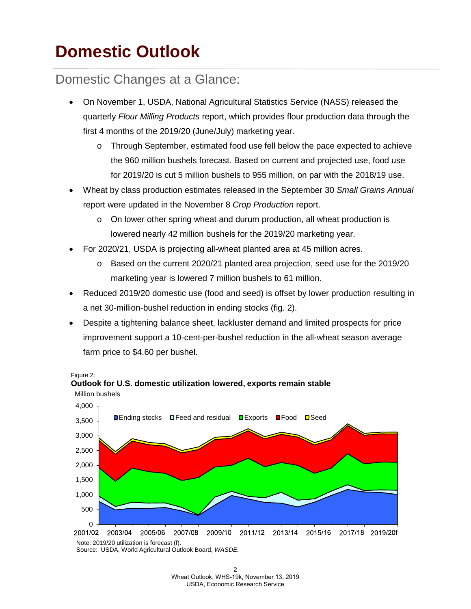## <span id="page-1-0"></span>**Domestic Outlook**

#### Domestic Changes at a Glance:

- On November 1, USDA, National Agricultural Statistics Service (NASS) released the quarterly *Flour Milling Products* report, which provides flour production data through the first 4 months of the 2019/20 (June/July) marketing year.
	- o Through September, estimated food use fell below the pace expected to achieve the 960 million bushels forecast. Based on current and projected use, food use for 2019/20 is cut 5 million bushels to 955 million, on par with the 2018/19 use.
- Wheat by class production estimates released in the September 30 *Small Grains Annual*  report were updated in the November 8 *Crop Production* report.
	- o On lower other spring wheat and durum production, all wheat production is lowered nearly 42 million bushels for the 2019/20 marketing year.
- For 2020/21, USDA is projecting all-wheat planted area at 45 million acres.

**Outlook for U.S. domestic utilization lowered, exports remain stable** 

- o Based on the current 2020/21 planted area projection, seed use for the 2019/20 marketing year is lowered 7 million bushels to 61 million.
- Reduced 2019/20 domestic use (food and seed) is offset by lower production resulting in a net 30-million-bushel reduction in ending stocks (fig. 2).
- Despite a tightening balance sheet, lackluster demand and limited prospects for price improvement support a 10-cent-per-bushel reduction in the all-wheat season average farm price to \$4.60 per bushel.

Figure 2:



Note: 2019/20 utilization is forecast (f). Source: USDA, World Agricultural Outlook Board, *WASDE.*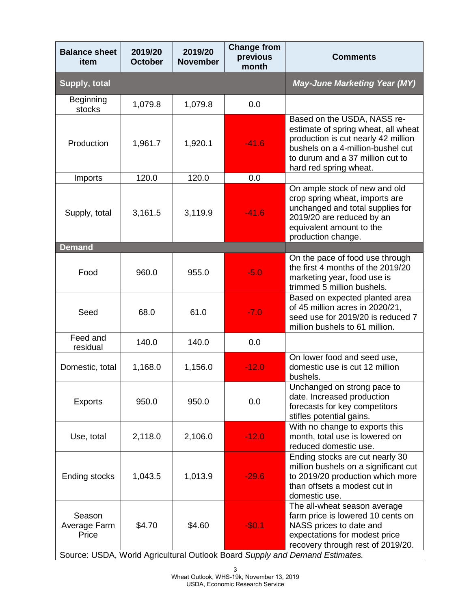|         | <b>November</b> | previous<br>month | <b>Comments</b>                                                                                                                                                                                              |
|---------|-----------------|-------------------|--------------------------------------------------------------------------------------------------------------------------------------------------------------------------------------------------------------|
|         |                 |                   | <b>May-June Marketing Year (MY)</b>                                                                                                                                                                          |
| 1,079.8 | 1,079.8         | 0.0               |                                                                                                                                                                                                              |
| 1,961.7 | 1,920.1         | $-41.6$           | Based on the USDA, NASS re-<br>estimate of spring wheat, all wheat<br>production is cut nearly 42 million<br>bushels on a 4-million-bushel cut<br>to durum and a 37 million cut to<br>hard red spring wheat. |
| 120.0   | 120.0           | 0.0               |                                                                                                                                                                                                              |
| 3,161.5 | 3,119.9         | $-41.6$           | On ample stock of new and old<br>crop spring wheat, imports are<br>unchanged and total supplies for<br>2019/20 are reduced by an<br>equivalent amount to the<br>production change.                           |
|         |                 |                   |                                                                                                                                                                                                              |
| 960.0   | 955.0           | $-5.0$            | On the pace of food use through<br>the first 4 months of the 2019/20<br>marketing year, food use is<br>trimmed 5 million bushels.                                                                            |
| 68.0    | 61.0            | $-7.0$            | Based on expected planted area<br>of 45 million acres in 2020/21,<br>seed use for 2019/20 is reduced 7<br>million bushels to 61 million.                                                                     |
| 140.0   | 140.0           | 0.0               |                                                                                                                                                                                                              |
| 1,168.0 | 1,156.0         | $-12.0$           | On lower food and seed use,<br>domestic use is cut 12 million<br>bushels.                                                                                                                                    |
| 950.0   | 950.0           | 0.0               | Unchanged on strong pace to<br>date. Increased production<br>forecasts for key competitors<br>stifles potential gains.                                                                                       |
| 2,118.0 | 2,106.0         | $-12.0$           | With no change to exports this<br>month, total use is lowered on<br>reduced domestic use.                                                                                                                    |
| 1,043.5 | 1,013.9         | $-29.6$           | Ending stocks are cut nearly 30<br>million bushels on a significant cut<br>to 2019/20 production which more<br>than offsets a modest cut in<br>domestic use.                                                 |
| \$4.70  | \$4.60          | $-$0.1$           | The all-wheat season average<br>farm price is lowered 10 cents on<br>NASS prices to date and<br>expectations for modest price<br>recovery through rest of 2019/20.                                           |
|         | <b>October</b>  |                   | Source: USDA, World Agricultural Outlook Board Supply and Demand Estimates.                                                                                                                                  |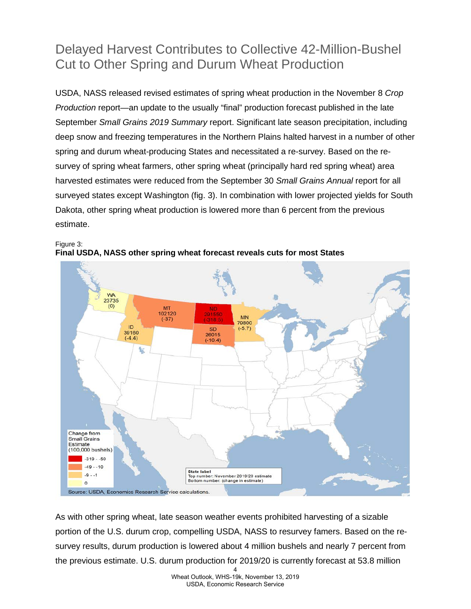## Delayed Harvest Contributes to Collective 42-Million-Bushel Cut to Other Spring and Durum Wheat Production

USDA, NASS released revised estimates of spring wheat production in the November 8 *Crop Production* report—an update to the usually "final" production forecast published in the late September *Small Grains 2019 Summary* report. Significant late season precipitation, including deep snow and freezing temperatures in the Northern Plains halted harvest in a number of other spring and durum wheat-producing States and necessitated a re-survey. Based on the resurvey of spring wheat farmers, other spring wheat (principally hard red spring wheat) area harvested estimates were reduced from the September 30 *Small Grains Annual* report for all surveyed states except Washington (fig. 3). In combination with lower projected yields for South Dakota, other spring wheat production is lowered more than 6 percent from the previous estimate.





As with other spring wheat, late season weather events prohibited harvesting of a sizable portion of the U.S. durum crop, compelling USDA, NASS to resurvey famers. Based on the resurvey results, durum production is lowered about 4 million bushels and nearly 7 percent from the previous estimate. U.S. durum production for 2019/20 is currently forecast at 53.8 million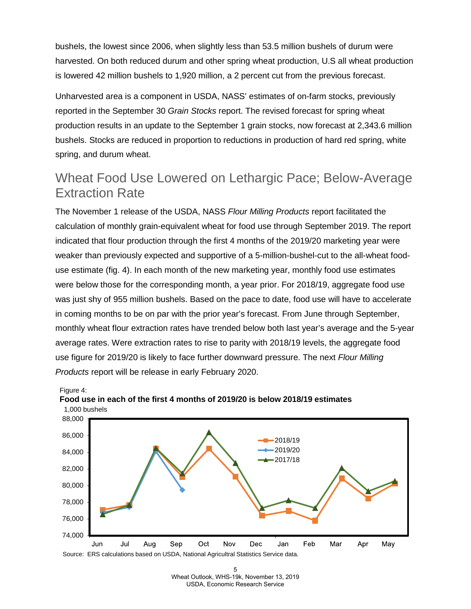bushels, the lowest since 2006, when slightly less than 53.5 million bushels of durum were harvested. On both reduced durum and other spring wheat production, U.S all wheat production is lowered 42 million bushels to 1,920 million, a 2 percent cut from the previous forecast.

Unharvested area is a component in USDA, NASS' estimates of on-farm stocks, previously reported in the September 30 *Grain Stocks* report. The revised forecast for spring wheat production results in an update to the September 1 grain stocks, now forecast at 2,343.6 million bushels. Stocks are reduced in proportion to reductions in production of hard red spring, white spring, and durum wheat.

#### Wheat Food Use Lowered on Lethargic Pace; Below-Average Extraction Rate

The November 1 release of the USDA, NASS *Flour Milling Products* report facilitated the calculation of monthly grain-equivalent wheat for food use through September 2019. The report indicated that flour production through the first 4 months of the 2019/20 marketing year were weaker than previously expected and supportive of a 5-million-bushel-cut to the all-wheat fooduse estimate (fig. 4). In each month of the new marketing year, monthly food use estimates were below those for the corresponding month, a year prior. For 2018/19, aggregate food use was just shy of 955 million bushels. Based on the pace to date, food use will have to accelerate in coming months to be on par with the prior year's forecast. From June through September, monthly wheat flour extraction rates have trended below both last year's average and the 5-year average rates. Were extraction rates to rise to parity with 2018/19 levels, the aggregate food use figure for 2019/20 is likely to face further downward pressure. The next *Flour Milling Products* report will be release in early February 2020.



Figure 4: **Food use in each of the first 4 months of 2019/20 is below 2018/19 estimates**

<sup>5</sup>  Wheat Outlook, WHS-19k, November 13, 2019 USDA, Economic Research Service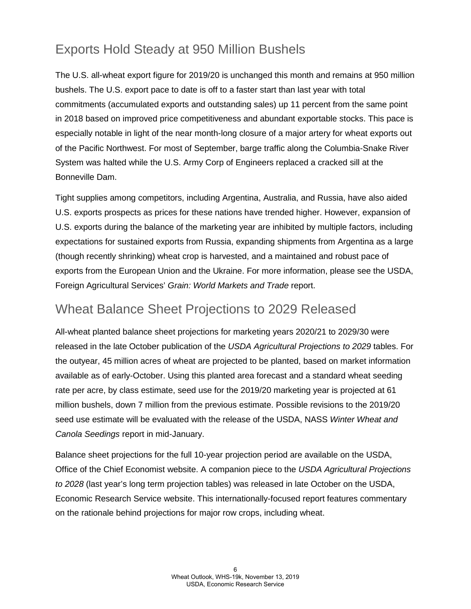## Exports Hold Steady at 950 Million Bushels

The U.S. all-wheat export figure for 2019/20 is unchanged this month and remains at 950 million bushels. The U.S. export pace to date is off to a faster start than last year with total commitments (accumulated exports and outstanding sales) up 11 percent from the same point in 2018 based on improved price competitiveness and abundant exportable stocks. This pace is especially notable in light of the near month-long closure of a major artery for wheat exports out of the Pacific Northwest. For most of September, barge traffic along the Columbia-Snake River System was halted while the U.S. Army Corp of Engineers replaced a cracked sill at the Bonneville Dam.

Tight supplies among competitors, including Argentina, Australia, and Russia, have also aided U.S. exports prospects as prices for these nations have trended higher. However, expansion of U.S. exports during the balance of the marketing year are inhibited by multiple factors, including expectations for sustained exports from Russia, expanding shipments from Argentina as a large (though recently shrinking) wheat crop is harvested, and a maintained and robust pace of exports from the European Union and the Ukraine. For more information, please see the USDA, Foreign Agricultural Services' *Grain: World Markets and Trade* report.

#### Wheat Balance Sheet Projections to 2029 Released

All-wheat planted balance sheet projections for marketing years 2020/21 to 2029/30 were released in the late October publication of the *USDA Agricultural Projections to 2029* tables. For the outyear, 45 million acres of wheat are projected to be planted, based on market information available as of early-October. Using this planted area forecast and a standard wheat seeding rate per acre, by class estimate, seed use for the 2019/20 marketing year is projected at 61 million bushels, down 7 million from the previous estimate. Possible revisions to the 2019/20 seed use estimate will be evaluated with the release of the USDA, NASS *Winter Wheat and Canola Seedings* report in mid-January.

Balance sheet projections for the full 10-year projection period are available on the USDA, Office of the Chief Economist website. A companion piece to the *USDA Agricultural Projections to 2028* (last year's long term projection tables) was released in late October on the USDA, Economic Research Service website. This internationally-focused report features commentary on the rationale behind projections for major row crops, including wheat.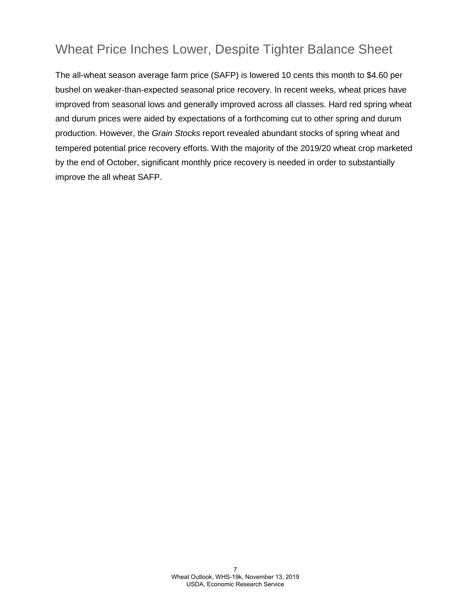### Wheat Price Inches Lower, Despite Tighter Balance Sheet

The all-wheat season average farm price (SAFP) is lowered 10 cents this month to \$4.60 per bushel on weaker-than-expected seasonal price recovery. In recent weeks, wheat prices have improved from seasonal lows and generally improved across all classes. Hard red spring wheat and durum prices were aided by expectations of a forthcoming cut to other spring and durum production. However, the *Grain Stocks* report revealed abundant stocks of spring wheat and tempered potential price recovery efforts. With the majority of the 2019/20 wheat crop marketed by the end of October, significant monthly price recovery is needed in order to substantially improve the all wheat SAFP.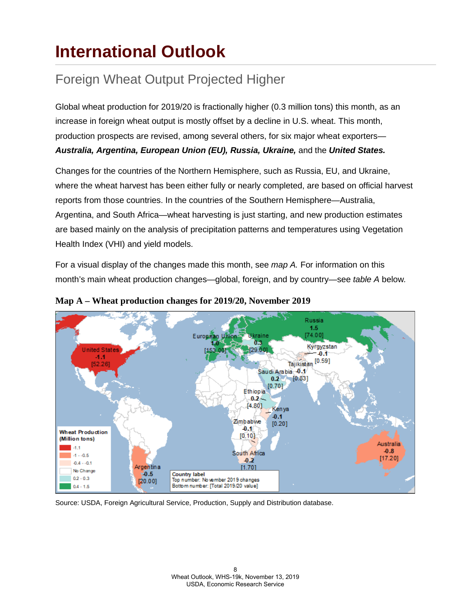## <span id="page-7-0"></span>**International Outlook**

## Foreign Wheat Output Projected Higher

Global wheat production for 2019/20 is fractionally higher (0.3 million tons) this month, as an increase in foreign wheat output is mostly offset by a decline in U.S. wheat. This month, production prospects are revised, among several others, for six major wheat exporters— *Australia, Argentina, European Union (EU), Russia, Ukraine,* and the *United States.* 

Changes for the countries of the Northern Hemisphere, such as Russia, EU, and Ukraine, where the wheat harvest has been either fully or nearly completed, are based on official harvest reports from those countries. In the countries of the Southern Hemisphere—Australia, Argentina, and South Africa—wheat harvesting is just starting, and new production estimates are based mainly on the analysis of precipitation patterns and temperatures using Vegetation Health Index (VHI) and yield models.

For a visual display of the changes made this month, see *map A.* For information on this month's main wheat production changes—global, foreign, and by country—see *table A* below*.*





Source: USDA, Foreign Agricultural Service, Production, Supply and Distribution database.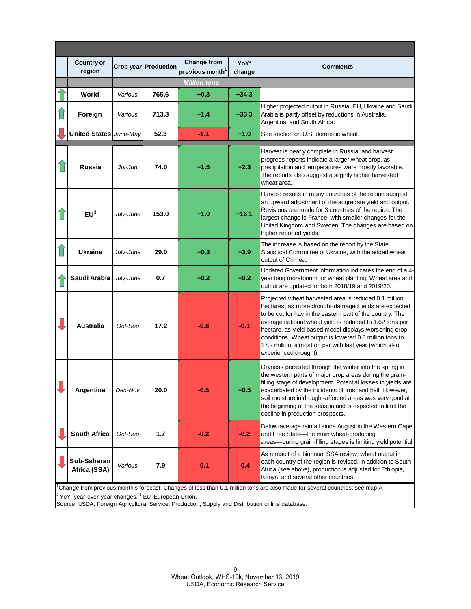| <b>Country or</b><br>region |           |                                                  |                                                   |                            |                                                                                                                                                                                                                                                                                                                                                                                                                                                |
|-----------------------------|-----------|--------------------------------------------------|---------------------------------------------------|----------------------------|------------------------------------------------------------------------------------------------------------------------------------------------------------------------------------------------------------------------------------------------------------------------------------------------------------------------------------------------------------------------------------------------------------------------------------------------|
|                             |           | Crop year   Production                           | <b>Change from</b><br>previous month <sup>1</sup> | YoY <sup>2</sup><br>change | <b>Comments</b>                                                                                                                                                                                                                                                                                                                                                                                                                                |
|                             |           | <b>Million tons</b>                              |                                                   |                            |                                                                                                                                                                                                                                                                                                                                                                                                                                                |
| World                       | Various   | 765.6                                            | $+0.3$                                            | $+34.3$                    |                                                                                                                                                                                                                                                                                                                                                                                                                                                |
| Foreign                     | Various   | 713.3                                            | $+1.4$                                            | $+33.3$                    | Higher projected output in Russia, EU, Ukraine and Saudi<br>Arabia is partly offset by reductions in Australia,<br>Argentina, and South Africa.                                                                                                                                                                                                                                                                                                |
|                             |           | 52.3                                             | $-1.1$                                            | $+1.0$                     | See section on U.S. domestic wheat.                                                                                                                                                                                                                                                                                                                                                                                                            |
| <b>Russia</b>               | Jul-Jun   | 74.0                                             | $+1.5$                                            | $+2.3$                     | Harvest is nearly complete in Russia, and harvest<br>progress reports indicate a larger wheat crop, as<br>precipitation and temperatures were mostly favorable.<br>The reports also suggest a slightly higher harvested<br>wheat area.                                                                                                                                                                                                         |
| EU <sup>3</sup>             | July-June | 153.0                                            | $+1.0$                                            | $+16.1$                    | Harvest results in many countries of the region suggest<br>an upward adjustment of the aggregate yield and output.<br>Revisions are made for 3 countries of the region. The<br>largest change is France, with smaller changes for the<br>United Kingdom and Sweden. The changes are based on<br>higher reported yields.                                                                                                                        |
| <b>Ukraine</b>              | July-June | 29.0                                             | $+0.3$                                            | $+3.9$                     | The increase is based on the report by the State<br>Statistical Committee of Ukraine, with the added wheat<br>output of Crimea.                                                                                                                                                                                                                                                                                                                |
|                             |           | 0.7                                              | $+0.2$                                            | $+0.2$                     | Updated Government information indicates the end of a 4-<br>year long moratorium for wheat planting. Wheat area and<br>output are updated for both 2018/19 and 2019/20.                                                                                                                                                                                                                                                                        |
| <b>Australia</b>            | Oct-Sep   | 17.2                                             | $-0.8$                                            | $-0.1$                     | Projected wheat harvested area is reduced 0.1 million<br>hectares, as more drought-damaged fields are expected<br>to be cut for hay in the eastern part of the country. The<br>average national wheat yield is reduced to 1.62 tons per<br>hectare, as yield-based model displays worsening crop<br>conditions. Wheat output is lowered 0.8 million tons to<br>17.2 million, almost on par with last year (which also<br>experienced drought). |
| Argentina                   | Dec-Nov   | 20.0                                             |                                                   | $+0.5$                     | Dryness persisted through the winter into the spring in<br>the western parts of major crop areas during the grain-<br>filling stage of development. Potential losses in yields are<br>exacerbated by the incidents of frost and hail. However,<br>soil moisture in drought-affected areas was very good at<br>the beginning of the season and is expected to limit the<br>decline in production prospects.                                     |
| <b>South Africa</b>         | Oct-Sep   | 1.7                                              | $-0.2$                                            | $-0.2$                     | Below-average rainfall since August in the Western Cape<br>and Free State-the main wheat-producing<br>areas-during grain-filling stages is limiting yield potential.                                                                                                                                                                                                                                                                           |
| Sub-Saharan<br>Africa (SSA) | Various   | 7.9                                              | $-0.1$                                            | $-0.4$                     | As a result of a biannual SSA review, wheat output in<br>each country of the region is revised. In addition to South<br>Africa (see above), production is adjusted for Ethiopia,<br>Kenya, and several other countries.                                                                                                                                                                                                                        |
|                             |           | United States June-May<br>Saudi Arabia July-June |                                                   |                            |                                                                                                                                                                                                                                                                                                                                                                                                                                                |

1 Change from previous month's forecast. Changes of less than 0.1 million tons are also made for several countries; see map A.

 $^{2}$  YoY: year-over-year changes.  $^{3}$  EU: European Union.

Source: USDA, Foreign Agricultural Service, Production, Supply and Distribution online database.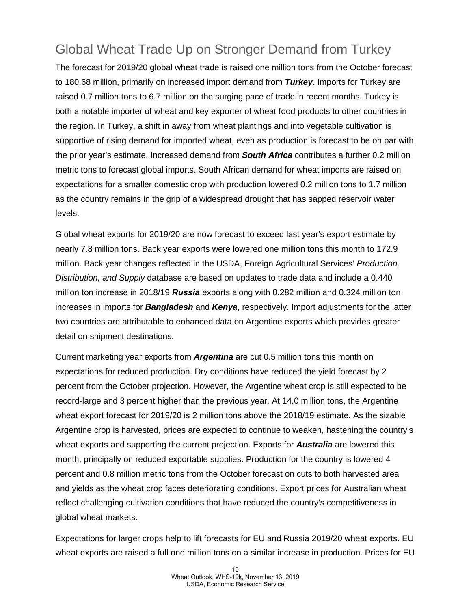## Global Wheat Trade Up on Stronger Demand from Turkey

The forecast for 2019/20 global wheat trade is raised one million tons from the October forecast to 180.68 million, primarily on increased import demand from *Turkey*. Imports for Turkey are raised 0.7 million tons to 6.7 million on the surging pace of trade in recent months. Turkey is both a notable importer of wheat and key exporter of wheat food products to other countries in the region. In Turkey, a shift in away from wheat plantings and into vegetable cultivation is supportive of rising demand for imported wheat, even as production is forecast to be on par with the prior year's estimate. Increased demand from *South Africa* contributes a further 0.2 million metric tons to forecast global imports. South African demand for wheat imports are raised on expectations for a smaller domestic crop with production lowered 0.2 million tons to 1.7 million as the country remains in the grip of a widespread drought that has sapped reservoir water levels.

Global wheat exports for 2019/20 are now forecast to exceed last year's export estimate by nearly 7.8 million tons. Back year exports were lowered one million tons this month to 172.9 million. Back year changes reflected in the USDA, Foreign Agricultural Services' *Production, Distribution, and Supply* database are based on updates to trade data and include a 0.440 million ton increase in 2018/19 *Russia* exports along with 0.282 million and 0.324 million ton increases in imports for *Bangladesh* and *Kenya*, respectively. Import adjustments for the latter two countries are attributable to enhanced data on Argentine exports which provides greater detail on shipment destinations.

Current marketing year exports from *Argentina* are cut 0.5 million tons this month on expectations for reduced production. Dry conditions have reduced the yield forecast by 2 percent from the October projection. However, the Argentine wheat crop is still expected to be record-large and 3 percent higher than the previous year. At 14.0 million tons, the Argentine wheat export forecast for 2019/20 is 2 million tons above the 2018/19 estimate. As the sizable Argentine crop is harvested, prices are expected to continue to weaken, hastening the country's wheat exports and supporting the current projection. Exports for *Australia* are lowered this month, principally on reduced exportable supplies. Production for the country is lowered 4 percent and 0.8 million metric tons from the October forecast on cuts to both harvested area and yields as the wheat crop faces deteriorating conditions. Export prices for Australian wheat reflect challenging cultivation conditions that have reduced the country's competitiveness in global wheat markets.

Expectations for larger crops help to lift forecasts for EU and Russia 2019/20 wheat exports. EU wheat exports are raised a full one million tons on a similar increase in production. Prices for EU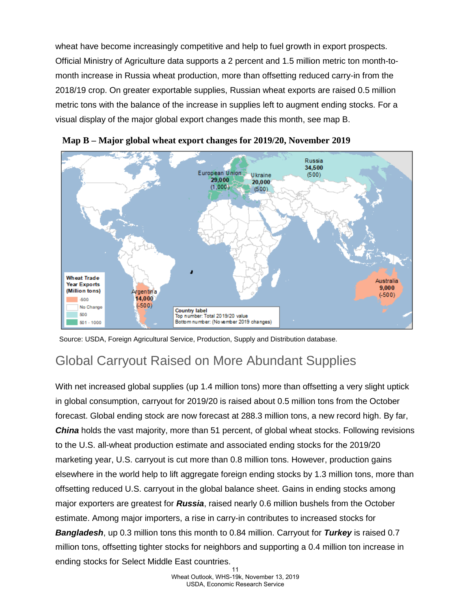wheat have become increasingly competitive and help to fuel growth in export prospects. Official Ministry of Agriculture data supports a 2 percent and 1.5 million metric ton month-tomonth increase in Russia wheat production, more than offsetting reduced carry-in from the 2018/19 crop. On greater exportable supplies, Russian wheat exports are raised 0.5 million metric tons with the balance of the increase in supplies left to augment ending stocks. For a visual display of the major global export changes made this month, see map B.





Source: USDA, Foreign Agricultural Service, Production, Supply and Distribution database.

#### Global Carryout Raised on More Abundant Supplies

With net increased global supplies (up 1.4 million tons) more than offsetting a very slight uptick in global consumption, carryout for 2019/20 is raised about 0.5 million tons from the October forecast. Global ending stock are now forecast at 288.3 million tons, a new record high. By far, *China* holds the vast majority, more than 51 percent, of global wheat stocks. Following revisions to the U.S. all-wheat production estimate and associated ending stocks for the 2019/20 marketing year, U.S. carryout is cut more than 0.8 million tons. However, production gains elsewhere in the world help to lift aggregate foreign ending stocks by 1.3 million tons, more than offsetting reduced U.S. carryout in the global balance sheet. Gains in ending stocks among major exporters are greatest for *Russia*, raised nearly 0.6 million bushels from the October estimate. Among major importers, a rise in carry-in contributes to increased stocks for *Bangladesh*, up 0.3 million tons this month to 0.84 million. Carryout for *Turkey* is raised 0.7 million tons, offsetting tighter stocks for neighbors and supporting a 0.4 million ton increase in ending stocks for Select Middle East countries. 11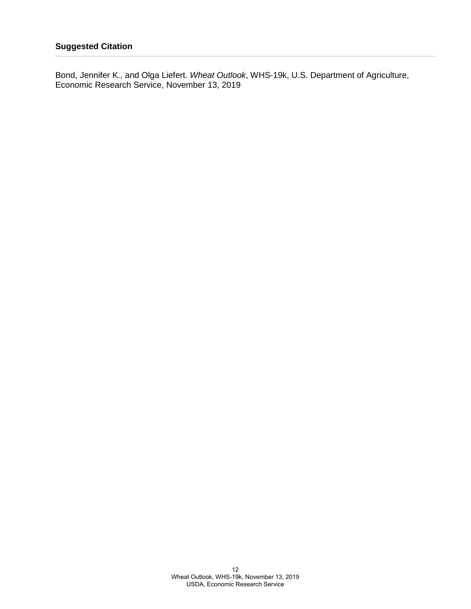Bond, Jennifer K., and Olga Liefert. *Wheat Outlook*, WHS-19k, U.S. Department of Agriculture, Economic Research Service, November 13, 2019